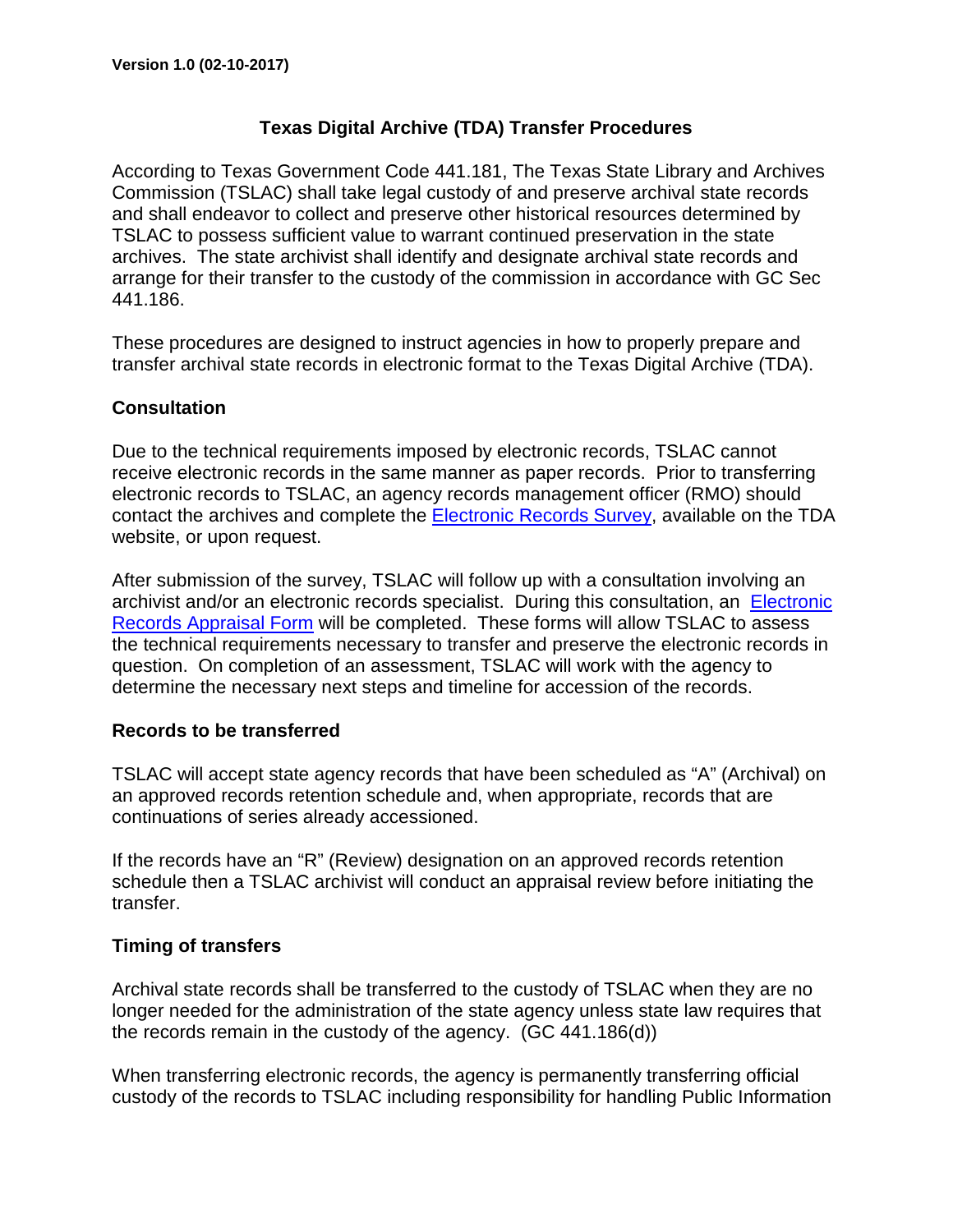# **Texas Digital Archive (TDA) Transfer Procedures**

According to Texas Government Code 441.181, The Texas State Library and Archives Commission (TSLAC) shall take legal custody of and preserve archival state records and shall endeavor to collect and preserve other historical resources determined by TSLAC to possess sufficient value to warrant continued preservation in the state archives. The state archivist shall identify and designate archival state records and arrange for their transfer to the custody of the commission in accordance with GC Sec 441.186.

These procedures are designed to instruct agencies in how to properly prepare and transfer archival state records in electronic format to the Texas Digital Archive (TDA).

#### **Consultation**

Due to the technical requirements imposed by electronic records, TSLAC cannot receive electronic records in the same manner as paper records. Prior to transferring electronic records to TSLAC, an agency records management officer (RMO) should contact the archives and complete the [Electronic Records Survey,](https://tsl.access.preservica.com/wp-content/uploads/sites/10/2017/02/ElectronicRecordsSurvey.pdf) available on the TDA website, or upon request.

After submission of the survey, TSLAC will follow up with a consultation involving an archivist and/or an electronic records specialist. During this consultation, an [Electronic](https://tsl.access.preservica.com/wp-content/uploads/sites/10/2017/02/ElectronicRecordsAppraisalForm.pdf)  [Records Appraisal Form](https://tsl.access.preservica.com/wp-content/uploads/sites/10/2017/02/ElectronicRecordsAppraisalForm.pdf) will be completed. These forms will allow TSLAC to assess the technical requirements necessary to transfer and preserve the electronic records in question. On completion of an assessment, TSLAC will work with the agency to determine the necessary next steps and timeline for accession of the records.

## **Records to be transferred**

TSLAC will accept state agency records that have been scheduled as "A" (Archival) on an approved records retention schedule and, when appropriate, records that are continuations of series already accessioned.

If the records have an "R" (Review) designation on an approved records retention schedule then a TSLAC archivist will conduct an appraisal review before initiating the transfer.

## **Timing of transfers**

Archival state records shall be transferred to the custody of TSLAC when they are no longer needed for the administration of the state agency unless state law requires that the records remain in the custody of the agency. (GC 441.186(d))

When transferring electronic records, the agency is permanently transferring official custody of the records to TSLAC including responsibility for handling Public Information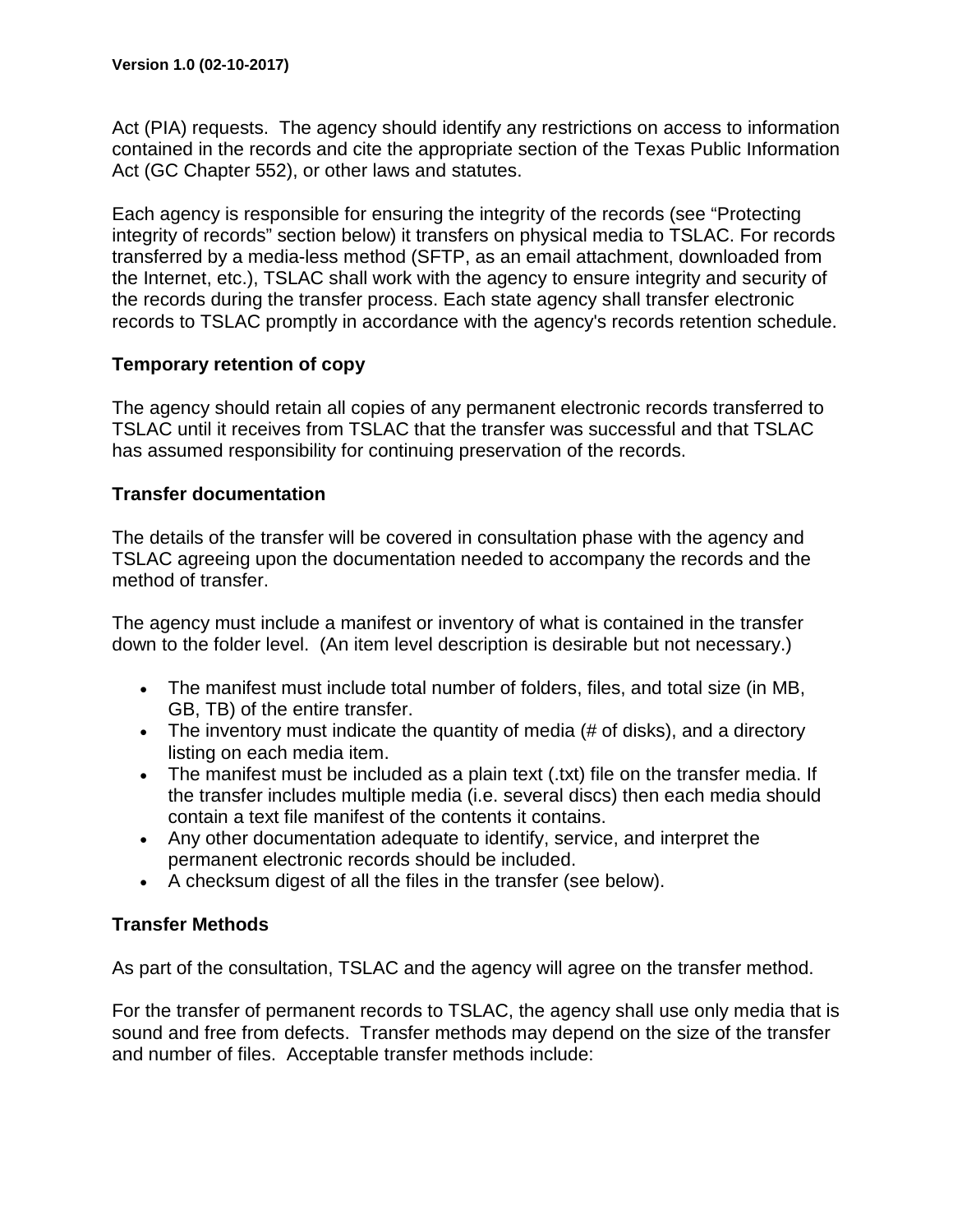Act (PIA) requests. The agency should identify any restrictions on access to information contained in the records and cite the appropriate section of the Texas Public Information Act (GC Chapter 552), or other laws and statutes.

Each agency is responsible for ensuring the integrity of the records (see "Protecting integrity of records" section below) it transfers on physical media to TSLAC. For records transferred by a media-less method (SFTP, as an email attachment, downloaded from the Internet, etc.), TSLAC shall work with the agency to ensure integrity and security of the records during the transfer process. Each state agency shall transfer electronic records to TSLAC promptly in accordance with the agency's records retention schedule.

#### **Temporary retention of copy**

The agency should retain all copies of any permanent electronic records transferred to TSLAC until it receives from TSLAC that the transfer was successful and that TSLAC has assumed responsibility for continuing preservation of the records.

#### **Transfer documentation**

The details of the transfer will be covered in consultation phase with the agency and TSLAC agreeing upon the documentation needed to accompany the records and the method of transfer.

The agency must include a manifest or inventory of what is contained in the transfer down to the folder level. (An item level description is desirable but not necessary.)

- The manifest must include total number of folders, files, and total size (in MB, GB, TB) of the entire transfer.
- The inventory must indicate the quantity of media (# of disks), and a directory listing on each media item.
- The manifest must be included as a plain text (.txt) file on the transfer media. If the transfer includes multiple media (i.e. several discs) then each media should contain a text file manifest of the contents it contains.
- Any other documentation adequate to identify, service, and interpret the permanent electronic records should be included.
- A checksum digest of all the files in the transfer (see below).

## **Transfer Methods**

As part of the consultation, TSLAC and the agency will agree on the transfer method.

For the transfer of permanent records to TSLAC, the agency shall use only media that is sound and free from defects. Transfer methods may depend on the size of the transfer and number of files. Acceptable transfer methods include: